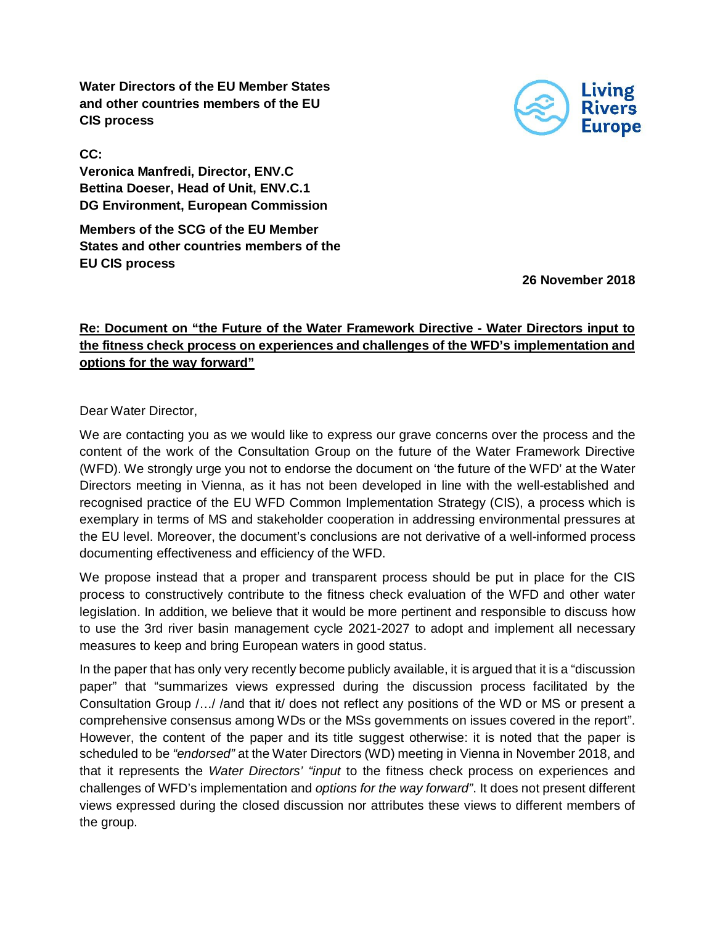**Water Directors of the EU Member States and other countries members of the EU CIS process**



**CC: Veronica Manfredi, Director, ENV.C Bettina Doeser, Head of Unit, ENV.C.1 DG Environment, European Commission**

**Members of the SCG of the EU Member States and other countries members of the EU CIS process**

**26 November 2018**

## **Re: Document on "the Future of the Water Framework Directive - Water Directors input to the fitness check process on experiences and challenges of the WFD's implementation and options for the way forward"**

Dear Water Director,

We are contacting you as we would like to express our grave concerns over the process and the content of the work of the Consultation Group on the future of the Water Framework Directive (WFD). We strongly urge you not to endorse the document on 'the future of the WFD' at the Water Directors meeting in Vienna, as it has not been developed in line with the well-established and recognised practice of the EU WFD Common Implementation Strategy (CIS), a process which is exemplary in terms of MS and stakeholder cooperation in addressing environmental pressures at the EU level. Moreover, the document's conclusions are not derivative of a well-informed process documenting effectiveness and efficiency of the WFD.

We propose instead that a proper and transparent process should be put in place for the CIS process to constructively contribute to the fitness check evaluation of the WFD and other water legislation. In addition, we believe that it would be more pertinent and responsible to discuss how to use the 3rd river basin management cycle 2021-2027 to adopt and implement all necessary measures to keep and bring European waters in good status.

In the paper that has only very recently become publicly available, it is argued that it is a "discussion paper" that "summarizes views expressed during the discussion process facilitated by the Consultation Group /…/ /and that it/ does not reflect any positions of the WD or MS or present a comprehensive consensus among WDs or the MSs governments on issues covered in the report". However, the content of the paper and its title suggest otherwise: it is noted that the paper is scheduled to be *"endorsed"* at the Water Directors (WD) meeting in Vienna in November 2018, and that it represents the *Water Directors' "input* to the fitness check process on experiences and challenges of WFD's implementation and *options for the way forward"*. It does not present different views expressed during the closed discussion nor attributes these views to different members of the group.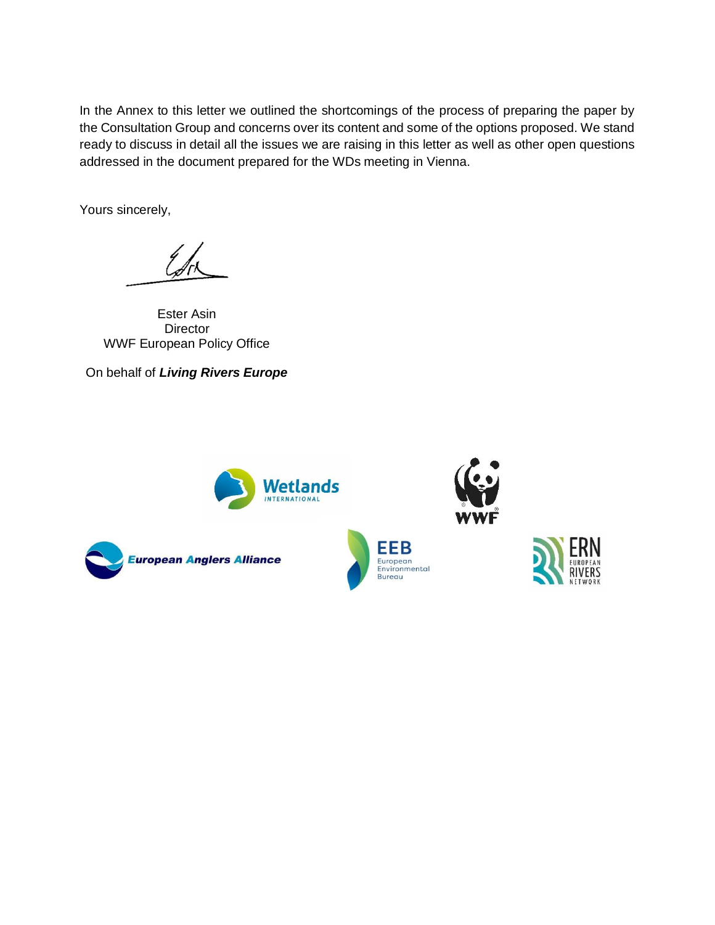In the Annex to this letter we outlined the shortcomings of the process of preparing the paper by the Consultation Group and concerns over its content and some of the options proposed. We stand ready to discuss in detail all the issues we are raising in this letter as well as other open questions addressed in the document prepared for the WDs meeting in Vienna.

Yours sincerely,

Ester Asin **Director** WWF European Policy Office

On behalf of *Living Rivers Europe*



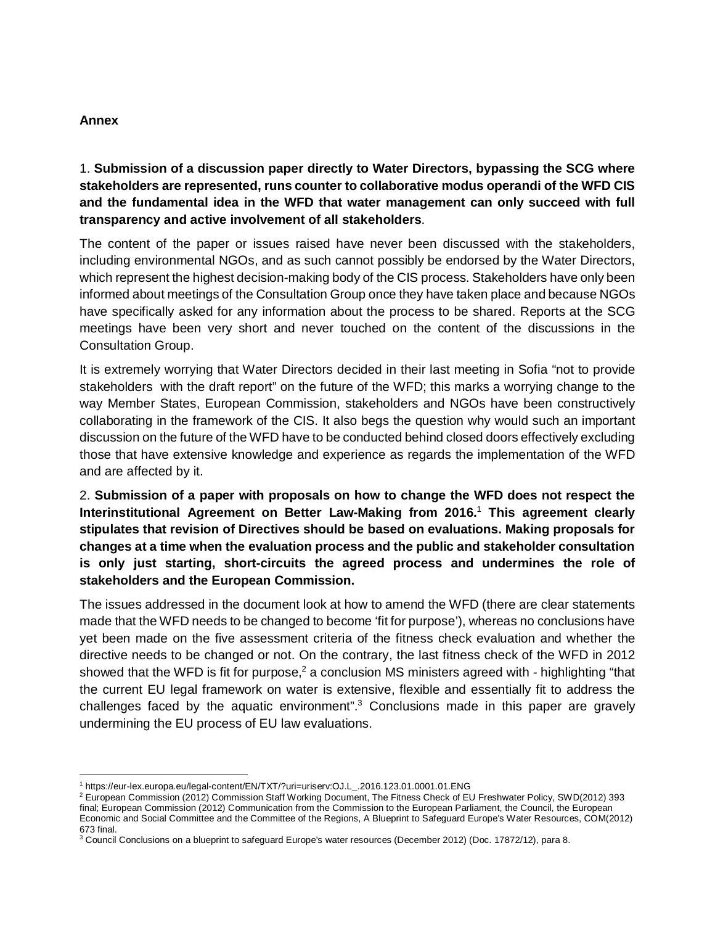## **Annex**

1. **Submission of a discussion paper directly to Water Directors, bypassing the SCG where stakeholders are represented, runs counter to collaborative modus operandi of the WFD CIS and the fundamental idea in the WFD that water management can only succeed with full transparency and active involvement of all stakeholders**.

The content of the paper or issues raised have never been discussed with the stakeholders, including environmental NGOs, and as such cannot possibly be endorsed by the Water Directors, which represent the highest decision-making body of the CIS process. Stakeholders have only been informed about meetings of the Consultation Group once they have taken place and because NGOs have specifically asked for any information about the process to be shared. Reports at the SCG meetings have been very short and never touched on the content of the discussions in the Consultation Group.

It is extremely worrying that Water Directors decided in their last meeting in Sofia "not to provide stakeholders with the draft report" on the future of the WFD; this marks a worrying change to the way Member States, European Commission, stakeholders and NGOs have been constructively collaborating in the framework of the CIS. It also begs the question why would such an important discussion on the future of the WFD have to be conducted behind closed doors effectively excluding those that have extensive knowledge and experience as regards the implementation of the WFD and are affected by it.

2. **Submission of a paper with proposals on how to change the WFD does not respect the Interinstitutional Agreement on Better Law-Making from 2016.**[1](#page-2-0) **This agreement clearly stipulates that revision of Directives should be based on evaluations. Making proposals for changes at a time when the evaluation process and the public and stakeholder consultation is only just starting, short-circuits the agreed process and undermines the role of stakeholders and the European Commission.**

The issues addressed in the document look at how to amend the WFD (there are clear statements made that the WFD needs to be changed to become 'fit for purpose'), whereas no conclusions have yet been made on the five assessment criteria of the fitness check evaluation and whether the directive needs to be changed or not. On the contrary, the last fitness check of the WFD in 2012 showed that the WFD is fit for purpose,<sup>[2](#page-2-1)</sup> a conclusion MS ministers agreed with - highlighting "that the current EU legal framework on water is extensive, flexible and essentially fit to address the challenges faced by the aquatic environment".<sup>[3](#page-2-2)</sup> Conclusions made in this paper are gravely undermining the EU process of EU law evaluations.

<span id="page-2-0"></span><sup>1</sup> https://eur-lex.europa.eu/legal-content/EN/TXT/?uri=uriserv:OJ.L\_.2016.123.01.0001.01.ENG

<span id="page-2-1"></span><sup>&</sup>lt;sup>2</sup> European Commission (2012) Commission Staff Working Document, The Fitness Check of EU Freshwater Policy, SWD(2012) 393 final; European Commission (2012) Communication from the Commission to the European Parliament, the Council, the European Economic and Social Committee and the Committee of the Regions, A Blueprint to Safeguard Europe's Water Resources, COM(2012) 673 final.

<span id="page-2-2"></span> $3$  Council Conclusions on a blueprint to safeguard Europe's water resources (December 2012) (Doc. 17872/12), para 8.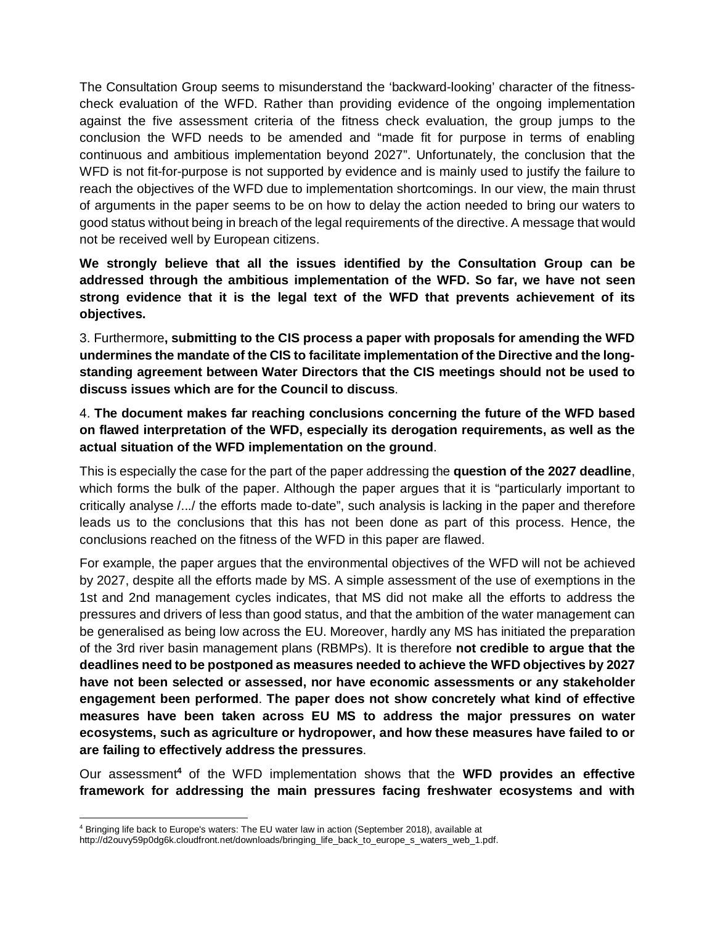The Consultation Group seems to misunderstand the 'backward-looking' character of the fitnesscheck evaluation of the WFD. Rather than providing evidence of the ongoing implementation against the five assessment criteria of the fitness check evaluation, the group jumps to the conclusion the WFD needs to be amended and "made fit for purpose in terms of enabling continuous and ambitious implementation beyond 2027". Unfortunately, the conclusion that the WFD is not fit-for-purpose is not supported by evidence and is mainly used to justify the failure to reach the objectives of the WFD due to implementation shortcomings. In our view, the main thrust of arguments in the paper seems to be on how to delay the action needed to bring our waters to good status without being in breach of the legal requirements of the directive. A message that would not be received well by European citizens.

**We strongly believe that all the issues identified by the Consultation Group can be addressed through the ambitious implementation of the WFD. So far, we have not seen strong evidence that it is the legal text of the WFD that prevents achievement of its objectives.**

3. Furthermore**, submitting to the CIS process a paper with proposals for amending the WFD undermines the mandate of the CIS to facilitate implementation of the Directive and the longstanding agreement between Water Directors that the CIS meetings should not be used to discuss issues which are for the Council to discuss**.

4. **The document makes far reaching conclusions concerning the future of the WFD based on flawed interpretation of the WFD, especially its derogation requirements, as well as the actual situation of the WFD implementation on the ground**.

This is especially the case for the part of the paper addressing the **question of the 2027 deadline**, which forms the bulk of the paper. Although the paper argues that it is "particularly important to critically analyse /.../ the efforts made to-date", such analysis is lacking in the paper and therefore leads us to the conclusions that this has not been done as part of this process. Hence, the conclusions reached on the fitness of the WFD in this paper are flawed.

For example, the paper argues that the environmental objectives of the WFD will not be achieved by 2027, despite all the efforts made by MS. A simple assessment of the use of exemptions in the 1st and 2nd management cycles indicates, that MS did not make all the efforts to address the pressures and drivers of less than good status, and that the ambition of the water management can be generalised as being low across the EU. Moreover, hardly any MS has initiated the preparation of the 3rd river basin management plans (RBMPs). It is therefore **not credible to argue that the deadlines need to be postponed as measures needed to achieve the WFD objectives by 2027 have not been selected or assessed, nor have economic assessments or any stakeholder engagement been performed**. **The paper does not show concretely what kind of effective measures have been taken across EU MS to address the major pressures on water ecosystems, such as agriculture or hydropower, and how these measures have failed to or are failing to effectively address the pressures**.

Our assessment<sup>[4](#page-3-0)</sup> of the WFD implementation shows that the WFD provides an effective **framework for addressing the main pressures facing freshwater ecosystems and with**

<span id="page-3-0"></span><sup>4</sup> Bringing life back to Europe's waters: The EU water law in action (September 2018), available at

http://d2ouvy59p0dg6k.cloudfront.net/downloads/bringing\_life\_back\_to\_europe\_s\_waters\_web\_1.pdf.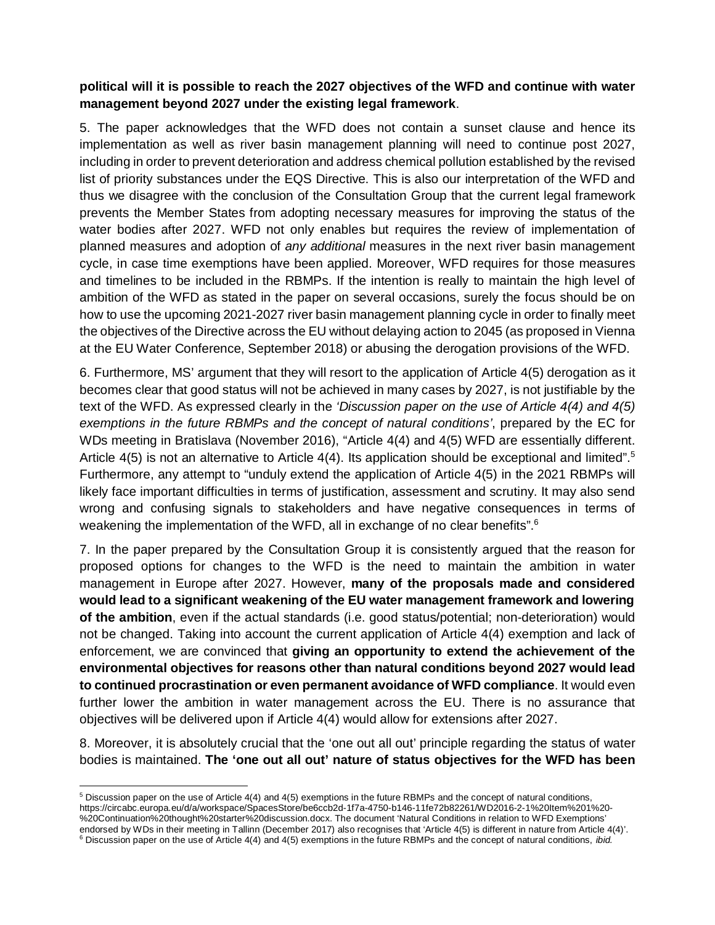## **political will it is possible to reach the 2027 objectives of the WFD and continue with water management beyond 2027 under the existing legal framework**.

5. The paper acknowledges that the WFD does not contain a sunset clause and hence its implementation as well as river basin management planning will need to continue post 2027, including in order to prevent deterioration and address chemical pollution established by the revised list of priority substances under the EQS Directive. This is also our interpretation of the WFD and thus we disagree with the conclusion of the Consultation Group that the current legal framework prevents the Member States from adopting necessary measures for improving the status of the water bodies after 2027. WFD not only enables but requires the review of implementation of planned measures and adoption of *any additional* measures in the next river basin management cycle, in case time exemptions have been applied. Moreover, WFD requires for those measures and timelines to be included in the RBMPs. If the intention is really to maintain the high level of ambition of the WFD as stated in the paper on several occasions, surely the focus should be on how to use the upcoming 2021-2027 river basin management planning cycle in order to finally meet the objectives of the Directive across the EU without delaying action to 2045 (as proposed in Vienna at the EU Water Conference, September 2018) or abusing the derogation provisions of the WFD.

6. Furthermore, MS' argument that they will resort to the application of Article 4(5) derogation as it becomes clear that good status will not be achieved in many cases by 2027, is not justifiable by the text of the WFD. As expressed clearly in the *'Discussion paper on the use of Article 4(4) and 4(5) exemptions in the future RBMPs and the concept of natural conditions'*, prepared by the EC for WDs meeting in Bratislava (November 2016), "Article 4(4) and 4(5) WFD are essentially different. Article 4([5](#page-4-0)) is not an alternative to Article 4(4). Its application should be exceptional and limited".<sup>5</sup> Furthermore, any attempt to "unduly extend the application of Article 4(5) in the 2021 RBMPs will likely face important difficulties in terms of justification, assessment and scrutiny. It may also send wrong and confusing signals to stakeholders and have negative consequences in terms of weakening the implementation of the WFD, all in exchange of no clear benefits".<sup>[6](#page-4-1)</sup>

7. In the paper prepared by the Consultation Group it is consistently argued that the reason for proposed options for changes to the WFD is the need to maintain the ambition in water management in Europe after 2027. However, **many of the proposals made and considered would lead to a significant weakening of the EU water management framework and lowering of the ambition**, even if the actual standards (i.e. good status/potential; non-deterioration) would not be changed. Taking into account the current application of Article 4(4) exemption and lack of enforcement, we are convinced that **giving an opportunity to extend the achievement of the environmental objectives for reasons other than natural conditions beyond 2027 would lead to continued procrastination or even permanent avoidance of WFD compliance**. It would even further lower the ambition in water management across the EU. There is no assurance that objectives will be delivered upon if Article 4(4) would allow for extensions after 2027.

8. Moreover, it is absolutely crucial that the 'one out all out' principle regarding the status of water bodies is maintained. **The 'one out all out' nature of status objectives for the WFD has been**

<span id="page-4-1"></span><span id="page-4-0"></span> $5$  Discussion paper on the use of Article 4(4) and 4(5) exemptions in the future RBMPs and the concept of natural conditions, https://circabc.europa.eu/d/a/workspace/SpacesStore/be6ccb2d-1f7a-4750-b146-11fe72b82261/WD2016-2-1%20Item%201%20- %20Continuation%20thought%20starter%20discussion.docx. The document 'Natural Conditions in relation to WFD Exemptions' endorsed by WDs in their meeting in Tallinn (December 2017) also recognises that 'Article 4(5) is different in nature from Article 4(4)'. 6 Discussion paper on the use of Article 4(4) and 4(5) exemptions in the future RBMPs and the concept of natural conditions, *ibid.*